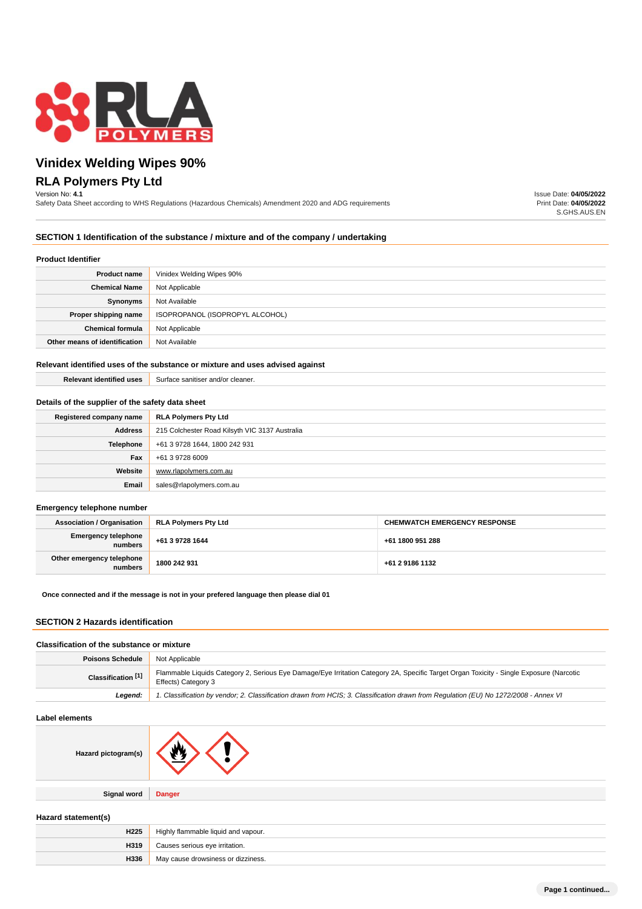

# **Vinidex Welding Wipes 90% RLA Polymers Pty Ltd**

#### Version No: **4.1**

Safety Data Sheet according to WHS Regulations (Hazardous Chemicals) Amendment 2020 and ADG requirements

Issue Date: **04/05/2022** Print Date: **04/05/2022** S.GHS.AUS.EN

#### **SECTION 1 Identification of the substance / mixture and of the company / undertaking**

#### **Product Identifier**

| .                             |                                 |
|-------------------------------|---------------------------------|
| <b>Product name</b>           | Vinidex Welding Wipes 90%       |
| <b>Chemical Name</b>          | Not Applicable                  |
| Synonyms                      | Not Available                   |
| Proper shipping name          | ISOPROPANOL (ISOPROPYL ALCOHOL) |
| <b>Chemical formula</b>       | Not Applicable                  |
| Other means of identification | Not Available                   |

#### **Relevant identified uses of the substance or mixture and uses advised against**

**Relevant identified uses** Surface sanitiser and/or cleaner.

#### **Details of the supplier of the safety data sheet**

| Registered company name | <b>RLA Polymers Pty Ltd</b>                    |
|-------------------------|------------------------------------------------|
| <b>Address</b>          | 215 Colchester Road Kilsyth VIC 3137 Australia |
| Telephone               | +61 3 9728 1644, 1800 242 931                  |
| Fax                     | +61 3 9728 6009                                |
| Website                 | www.rlapolvmers.com.au                         |
| Email                   | sales@rlapolymers.com.au                       |

#### **Emergency telephone number**

| <b>Association / Organisation</b>    | <b>RLA Polymers Pty Ltd</b> | <b>CHEMWATCH EMERGENCY RESPONSE</b> |
|--------------------------------------|-----------------------------|-------------------------------------|
| Emergency telephone<br>numbers       | +61 3 9728 1644             | +61 1800 951 288                    |
| Other emergency telephone<br>numbers | 1800 242 931                | +61 2 9186 1132                     |

#### **Once connected and if the message is not in your prefered language then please dial 01**

## **SECTION 2 Hazards identification**

### **Classification of the substance or mixture**

| <b>Poisons Schedule</b>       | Not Applicable                                                                                                                                                 |  |
|-------------------------------|----------------------------------------------------------------------------------------------------------------------------------------------------------------|--|
| Classification <sup>[1]</sup> | Flammable Liquids Category 2, Serious Eye Damage/Eye Irritation Category 2A, Specific Target Organ Toxicity - Single Exposure (Narcotic<br>Effects) Category 3 |  |
| Leaend:                       | 1. Classification by vendor; 2. Classification drawn from HCIS; 3. Classification drawn from Requlation (EU) No 1272/2008 - Annex VI                           |  |

## **Label elements**

| Hazard pictogram(s) | А.            |
|---------------------|---------------|
| <b>Signal word</b>  | <b>Danger</b> |
|                     |               |

#### **Hazard statement(s)**

| H <sub>225</sub> | Highly flammable liquid and vapour. |  |
|------------------|-------------------------------------|--|
| H319             | Causes serious eye irritation.      |  |
| H336             | May cause drowsiness or dizziness.  |  |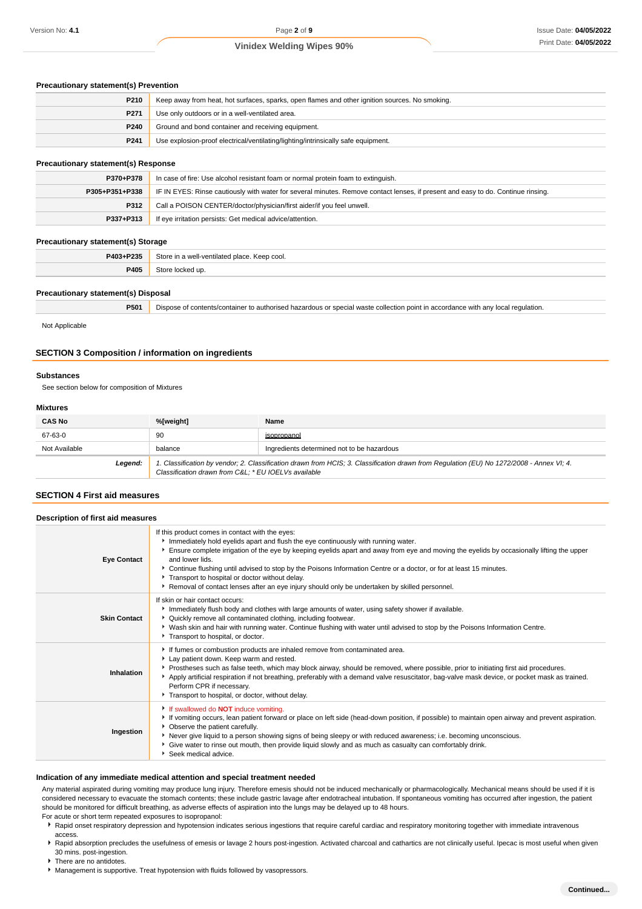| <b>Precautionary statement(s) Prevention</b> |                                                                                                |
|----------------------------------------------|------------------------------------------------------------------------------------------------|
| P210                                         | Keep away from heat, hot surfaces, sparks, open flames and other ignition sources. No smoking. |
| P <sub>271</sub>                             | Use only outdoors or in a well-ventilated area.                                                |
| P <sub>240</sub>                             | Ground and bond container and receiving equipment.                                             |
| P <sub>241</sub>                             | Use explosion-proof electrical/ventilating/lighting/intrinsically safe equipment.              |

## **Precautionary statement(s) Response**

| P370+P378      | In case of fire: Use alcohol resistant foam or normal protein foam to extinguish.                                                |  |
|----------------|----------------------------------------------------------------------------------------------------------------------------------|--|
| P305+P351+P338 | IF IN EYES: Rinse cautiously with water for several minutes. Remove contact lenses, if present and easy to do. Continue rinsing. |  |
| P312           | Call a POISON CENTER/doctor/physician/first aider/if you feel unwell.                                                            |  |
| P337+P313      | If eye irritation persists: Get medical advice/attention.                                                                        |  |

#### **Precautionary statement(s) Storage**

| __<br>____ | ____                                                  |
|------------|-------------------------------------------------------|
| P403+P235  | Store in a well-ventilated place. Keep cool.<br>$  -$ |
| P405       |                                                       |
|            |                                                       |

#### **Precautionary statement(s) Disposal**

| P501 | Dispose of contents/container to authorised hazardous or special waste collection point in accordance with any local regulation. |
|------|----------------------------------------------------------------------------------------------------------------------------------|
|      |                                                                                                                                  |

Not Applicable

# **SECTION 3 Composition / information on ingredients**

#### **Substances**

See section below for composition of Mixtures

#### **Mixtures**

| <b>CAS No</b> | %[weight]                                                                                                                                                                                       | Name                                       |
|---------------|-------------------------------------------------------------------------------------------------------------------------------------------------------------------------------------------------|--------------------------------------------|
| 67-63-0       | 90                                                                                                                                                                                              | isopropanol                                |
| Not Available | balance                                                                                                                                                                                         | Ingredients determined not to be hazardous |
| Legend:       | 1. Classification by vendor; 2. Classification drawn from HCIS; 3. Classification drawn from Regulation (EU) No 1272/2008 - Annex VI; 4.<br>Classification drawn from C&L * EU IOELVs available |                                            |

# **SECTION 4 First aid measures**

| Description of first aid measures |                                                                                                                                                                                                                                                                                                                                                                                                                                                                                                                                                                                 |  |
|-----------------------------------|---------------------------------------------------------------------------------------------------------------------------------------------------------------------------------------------------------------------------------------------------------------------------------------------------------------------------------------------------------------------------------------------------------------------------------------------------------------------------------------------------------------------------------------------------------------------------------|--|
| <b>Eye Contact</b>                | If this product comes in contact with the eyes:<br>Immediately hold eyelids apart and flush the eye continuously with running water.<br>Ensure complete irrigation of the eye by keeping eyelids apart and away from eye and moving the eyelids by occasionally lifting the upper<br>and lower lids.<br>▶ Continue flushing until advised to stop by the Poisons Information Centre or a doctor, or for at least 15 minutes.<br>Transport to hospital or doctor without delay.<br>Removal of contact lenses after an eye injury should only be undertaken by skilled personnel. |  |
| <b>Skin Contact</b>               | If skin or hair contact occurs:<br>Immediately flush body and clothes with large amounts of water, using safety shower if available.<br>▶ Quickly remove all contaminated clothing, including footwear.<br>▶ Wash skin and hair with running water. Continue flushing with water until advised to stop by the Poisons Information Centre.<br>Transport to hospital, or doctor.                                                                                                                                                                                                  |  |
| Inhalation                        | If fumes or combustion products are inhaled remove from contaminated area.<br>Lay patient down. Keep warm and rested.<br>▶ Prostheses such as false teeth, which may block airway, should be removed, where possible, prior to initiating first aid procedures.<br>Apply artificial respiration if not breathing, preferably with a demand valve resuscitator, bag-valve mask device, or pocket mask as trained.<br>Perform CPR if necessary.<br>Transport to hospital, or doctor, without delay.                                                                               |  |
| Ingestion                         | If swallowed do <b>NOT</b> induce vomiting.<br>▶ If vomiting occurs, lean patient forward or place on left side (head-down position, if possible) to maintain open airway and prevent aspiration.<br>• Observe the patient carefully.<br>▶ Never give liquid to a person showing signs of being sleepy or with reduced awareness; i.e. becoming unconscious.<br>▶ Give water to rinse out mouth, then provide liquid slowly and as much as casualty can comfortably drink.<br>Seek medical advice.                                                                              |  |

#### **Indication of any immediate medical attention and special treatment needed**

Any material aspirated during vomiting may produce lung injury. Therefore emesis should not be induced mechanically or pharmacologically. Mechanical means should be used if it is considered necessary to evacuate the stomach contents; these include gastric lavage after endotracheal intubation. If spontaneous vomiting has occurred after ingestion, the patient should be monitored for difficult breathing, as adverse effects of aspiration into the lungs may be delayed up to 48 hours.

For acute or short term repeated exposures to isopropanol:

- **>** Rapid onset respiratory depression and hypotension indicates serious ingestions that require careful cardiac and respiratory monitoring together with immediate intravenous access.
- ▶ Rapid absorption precludes the usefulness of emesis or lavage 2 hours post-ingestion. Activated charcoal and cathartics are not clinically useful. Ipecac is most useful when given 30 mins. post-ingestion.
- ▶ There are no antidotes.
- **Management is supportive. Treat hypotension with fluids followed by vasopressors.**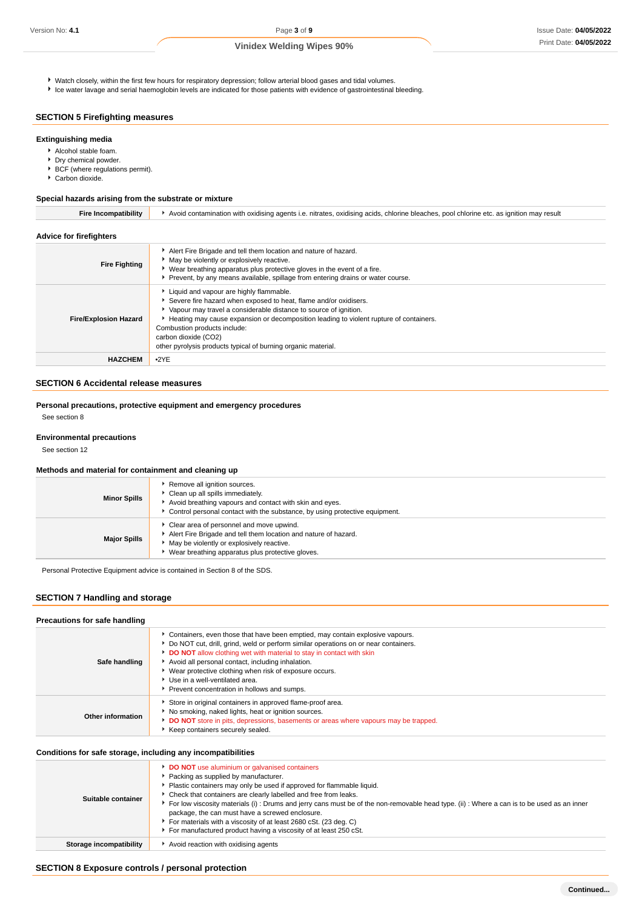Watch closely, within the first few hours for respiratory depression; follow arterial blood gases and tidal volumes.

Ice water lavage and serial haemoglobin levels are indicated for those patients with evidence of gastrointestinal bleeding.

# **SECTION 5 Firefighting measures**

#### **Extinguishing media**

- Alcohol stable foam.
- **Dry chemical powder.**
- ▶ BCF (where regulations permit).
- Carbon dioxide.

#### **Special hazards arising from the substrate or mixture**

| <b>Advice for firefighters</b> |                                                                                                                                                                                                                                                                                                                                                                                                      |
|--------------------------------|------------------------------------------------------------------------------------------------------------------------------------------------------------------------------------------------------------------------------------------------------------------------------------------------------------------------------------------------------------------------------------------------------|
| <b>Fire Fighting</b>           | Alert Fire Brigade and tell them location and nature of hazard.<br>• May be violently or explosively reactive.<br>▶ Wear breathing apparatus plus protective gloves in the event of a fire.<br>▶ Prevent, by any means available, spillage from entering drains or water course.                                                                                                                     |
| <b>Fire/Explosion Hazard</b>   | Liquid and vapour are highly flammable.<br>Severe fire hazard when exposed to heat, flame and/or oxidisers.<br>▶ Vapour may travel a considerable distance to source of ignition.<br>Heating may cause expansion or decomposition leading to violent rupture of containers.<br>Combustion products include:<br>carbon dioxide (CO2)<br>other pyrolysis products typical of burning organic material. |
| <b>HAZCHEM</b>                 | •2YE                                                                                                                                                                                                                                                                                                                                                                                                 |

**Fire Incompatibility Avoid contamination with oxidising agents i.e. nitrates, oxidising acids, chlorine bleaches, pool chlorine etc. as ignition may result** 

# **SECTION 6 Accidental release measures**

#### **Personal precautions, protective equipment and emergency procedures**

See section 8

#### **Environmental precautions**

See section 12

#### **Methods and material for containment and cleaning up**

| <b>Minor Spills</b> | Remove all ignition sources.<br>Clean up all spills immediately.<br>Avoid breathing vapours and contact with skin and eyes.<br>Control personal contact with the substance, by using protective equipment.   |
|---------------------|--------------------------------------------------------------------------------------------------------------------------------------------------------------------------------------------------------------|
| <b>Major Spills</b> | Clear area of personnel and move upwind.<br>Alert Fire Brigade and tell them location and nature of hazard.<br>May be violently or explosively reactive.<br>Wear breathing apparatus plus protective gloves. |

Personal Protective Equipment advice is contained in Section 8 of the SDS.

## **SECTION 7 Handling and storage**

#### **Precautions for safe handling**

| Safe handling     | Containers, even those that have been emptied, may contain explosive vapours.<br>▶ Do NOT cut, drill, grind, weld or perform similar operations on or near containers.<br>DO NOT allow clothing wet with material to stay in contact with skin<br>Avoid all personal contact, including inhalation.<br>▶ Wear protective clothing when risk of exposure occurs.<br>Use in a well-ventilated area.<br>Prevent concentration in hollows and sumps. |
|-------------------|--------------------------------------------------------------------------------------------------------------------------------------------------------------------------------------------------------------------------------------------------------------------------------------------------------------------------------------------------------------------------------------------------------------------------------------------------|
| Other information | Store in original containers in approved flame-proof area.<br>No smoking, naked lights, heat or ignition sources.<br>DO NOT store in pits, depressions, basements or areas where vapours may be trapped.<br>Keep containers securely sealed.                                                                                                                                                                                                     |

#### **Conditions for safe storage, including any incompatibilities**

| Suitable container      | <b>DO NOT</b> use aluminium or galvanised containers<br>Packing as supplied by manufacturer.<br>• Plastic containers may only be used if approved for flammable liquid.<br>• Check that containers are clearly labelled and free from leaks.<br>For low viscosity materials (i): Drums and jerry cans must be of the non-removable head type. (ii): Where a can is to be used as an inner<br>package, the can must have a screwed enclosure.<br>For materials with a viscosity of at least 2680 cSt. (23 deg. C)<br>For manufactured product having a viscosity of at least 250 cSt. |
|-------------------------|--------------------------------------------------------------------------------------------------------------------------------------------------------------------------------------------------------------------------------------------------------------------------------------------------------------------------------------------------------------------------------------------------------------------------------------------------------------------------------------------------------------------------------------------------------------------------------------|
| Storage incompatibility | ▶ Avoid reaction with oxidising agents                                                                                                                                                                                                                                                                                                                                                                                                                                                                                                                                               |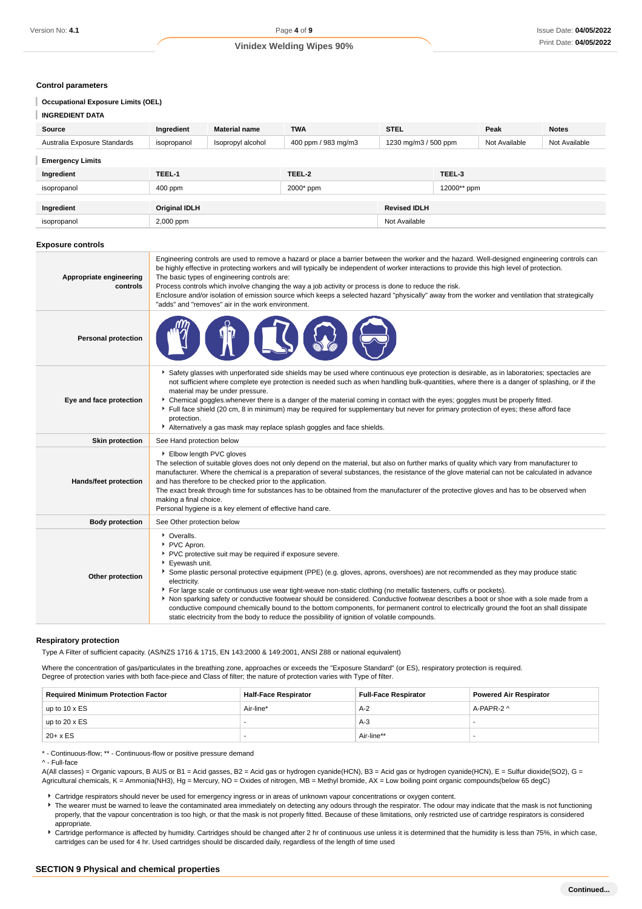#### **Control parameters**

#### **Occupational Exposure Limits (OEL)**

| <b>INGREDIENT DATA</b>       |                      |                      |                     |                      |             |               |               |
|------------------------------|----------------------|----------------------|---------------------|----------------------|-------------|---------------|---------------|
| Source                       | Ingredient           | <b>Material name</b> | <b>TWA</b>          | <b>STEL</b>          |             | Peak          | <b>Notes</b>  |
| Australia Exposure Standards | isopropanol          | Isopropyl alcohol    | 400 ppm / 983 mg/m3 | 1230 mg/m3 / 500 ppm |             | Not Available | Not Available |
| <b>Emergency Limits</b>      |                      |                      |                     |                      |             |               |               |
| Ingredient                   | TEEL-1               |                      | TEEL-2              |                      | TEEL-3      |               |               |
| isopropanol                  | 400 ppm              |                      | 2000* ppm           |                      | 12000** ppm |               |               |
|                              |                      |                      |                     |                      |             |               |               |
| Ingredient                   | <b>Original IDLH</b> |                      |                     | <b>Revised IDLH</b>  |             |               |               |
| isopropanol                  | 2,000 ppm            |                      |                     | Not Available        |             |               |               |

#### **Exposure controls**

| Appropriate engineering<br>controls | Engineering controls are used to remove a hazard or place a barrier between the worker and the hazard. Well-designed engineering controls can<br>be highly effective in protecting workers and will typically be independent of worker interactions to provide this high level of protection.<br>The basic types of engineering controls are:<br>Process controls which involve changing the way a job activity or process is done to reduce the risk.<br>Enclosure and/or isolation of emission source which keeps a selected hazard "physically" away from the worker and ventilation that strategically<br>"adds" and "removes" air in the work environment.                                                                                                       |
|-------------------------------------|-----------------------------------------------------------------------------------------------------------------------------------------------------------------------------------------------------------------------------------------------------------------------------------------------------------------------------------------------------------------------------------------------------------------------------------------------------------------------------------------------------------------------------------------------------------------------------------------------------------------------------------------------------------------------------------------------------------------------------------------------------------------------|
| <b>Personal protection</b>          |                                                                                                                                                                                                                                                                                                                                                                                                                                                                                                                                                                                                                                                                                                                                                                       |
| Eye and face protection             | ▶ Safety glasses with unperforated side shields may be used where continuous eye protection is desirable, as in laboratories; spectacles are<br>not sufficient where complete eye protection is needed such as when handling bulk-quantities, where there is a danger of splashing, or if the<br>material may be under pressure.<br>▶ Chemical goggles whenever there is a danger of the material coming in contact with the eyes; goggles must be properly fitted.<br>Full face shield (20 cm, 8 in minimum) may be required for supplementary but never for primary protection of eyes; these afford face<br>protection.<br>Alternatively a gas mask may replace splash goggles and face shields.                                                                   |
| <b>Skin protection</b>              | See Hand protection below                                                                                                                                                                                                                                                                                                                                                                                                                                                                                                                                                                                                                                                                                                                                             |
| Hands/feet protection               | Elbow length PVC gloves<br>The selection of suitable gloves does not only depend on the material, but also on further marks of quality which vary from manufacturer to<br>manufacturer. Where the chemical is a preparation of several substances, the resistance of the glove material can not be calculated in advance<br>and has therefore to be checked prior to the application.<br>The exact break through time for substances has to be obtained from the manufacturer of the protective gloves and has to be observed when<br>making a final choice.<br>Personal hygiene is a key element of effective hand care.                                                                                                                                             |
| <b>Body protection</b>              | See Other protection below                                                                                                                                                                                                                                                                                                                                                                                                                                                                                                                                                                                                                                                                                                                                            |
| Other protection                    | • Overalls.<br>PVC Apron.<br>PVC protective suit may be required if exposure severe.<br>▶ Eyewash unit.<br>Some plastic personal protective equipment (PPE) (e.g. gloves, aprons, overshoes) are not recommended as they may produce static<br>electricity.<br>For large scale or continuous use wear tight-weave non-static clothing (no metallic fasteners, cuffs or pockets).<br>Non sparking safety or conductive footwear should be considered. Conductive footwear describes a boot or shoe with a sole made from a<br>conductive compound chemically bound to the bottom components, for permanent control to electrically ground the foot an shall dissipate<br>static electricity from the body to reduce the possibility of ignition of volatile compounds. |

#### **Respiratory protection**

Type A Filter of sufficient capacity. (AS/NZS 1716 & 1715, EN 143:2000 & 149:2001, ANSI Z88 or national equivalent)

Where the concentration of gas/particulates in the breathing zone, approaches or exceeds the "Exposure Standard" (or ES), respiratory protection is required. Degree of protection varies with both face-piece and Class of filter; the nature of protection varies with Type of filter.

| <b>Required Minimum Protection Factor</b> | <b>Half-Face Respirator</b> | <b>Full-Face Respirator</b> | <b>Powered Air Respirator</b> |
|-------------------------------------------|-----------------------------|-----------------------------|-------------------------------|
| up to $10 \times ES$                      | Air-line*                   | $A-2$                       | A-PAPR-2 ^                    |
| up to $20 \times ES$                      |                             | A-3                         |                               |
| $20 + x ES$                               |                             | Air-line**                  |                               |

\* - Continuous-flow; \*\* - Continuous-flow or positive pressure demand

A(All classes) = Organic vapours, B AUS or B1 = Acid gasses, B2 = Acid gas or hydrogen cyanide(HCN), B3 = Acid gas or hydrogen cyanide(HCN), E = Sulfur dioxide(SO2), G = Agricultural chemicals, K = Ammonia(NH3), Hg = Mercury, NO = Oxides of nitrogen, MB = Methyl bromide, AX = Low boiling point organic compounds(below 65 degC)

- Cartridge respirators should never be used for emergency ingress or in areas of unknown vapour concentrations or oxygen content.
- ▶ The wearer must be warned to leave the contaminated area immediately on detecting any odours through the respirator. The odour may indicate that the mask is not functioning properly, that the vapour concentration is too high, or that the mask is not properly fitted. Because of these limitations, only restricted use of cartridge respirators is considered appropriate.
- Cartridge performance is affected by humidity. Cartridges should be changed after 2 hr of continuous use unless it is determined that the humidity is less than 75%, in which case, cartridges can be used for 4 hr. Used cartridges should be discarded daily, regardless of the length of time used

<sup>^ -</sup> Full-face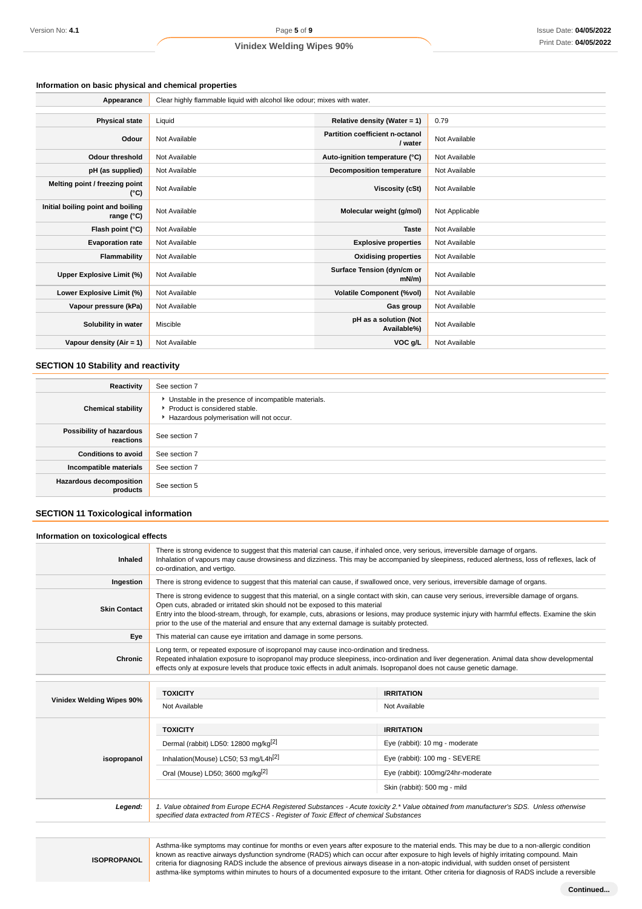# **Information on basic physical and chemical properties**

| Appearance                                               | Clear highly flammable liquid with alcohol like odour; mixes with water. |                                            |                |  |  |
|----------------------------------------------------------|--------------------------------------------------------------------------|--------------------------------------------|----------------|--|--|
|                                                          |                                                                          |                                            |                |  |  |
| <b>Physical state</b>                                    | Liquid                                                                   | Relative density (Water = 1)               | 0.79           |  |  |
| Odour                                                    | Not Available                                                            | Partition coefficient n-octanol<br>/ water | Not Available  |  |  |
| <b>Odour threshold</b>                                   | Not Available                                                            | Auto-ignition temperature (°C)             | Not Available  |  |  |
| pH (as supplied)                                         | Not Available                                                            | <b>Decomposition temperature</b>           | Not Available  |  |  |
| Melting point / freezing point<br>(°C)                   | Not Available                                                            | Viscosity (cSt)                            | Not Available  |  |  |
| Initial boiling point and boiling<br>range $(^{\circ}C)$ | Not Available                                                            | Molecular weight (g/mol)                   | Not Applicable |  |  |
| Flash point (°C)                                         | Not Available                                                            | <b>Taste</b>                               | Not Available  |  |  |
| <b>Evaporation rate</b>                                  | Not Available                                                            | <b>Explosive properties</b>                | Not Available  |  |  |
| Flammability                                             | Not Available                                                            | <b>Oxidising properties</b>                | Not Available  |  |  |
| Upper Explosive Limit (%)                                | Not Available                                                            | Surface Tension (dyn/cm or<br>$mN/m$ )     | Not Available  |  |  |
| Lower Explosive Limit (%)                                | Not Available                                                            | <b>Volatile Component (%vol)</b>           | Not Available  |  |  |
| Vapour pressure (kPa)                                    | Not Available                                                            | Gas group                                  | Not Available  |  |  |
| Solubility in water                                      | Miscible                                                                 | pH as a solution (Not<br>Available%)       | Not Available  |  |  |
| Vapour density $(Air = 1)$                               | Not Available                                                            | VOC g/L                                    | Not Available  |  |  |

# **SECTION 10 Stability and reactivity**

| Reactivity                            | See section 7                                                                                                                      |
|---------------------------------------|------------------------------------------------------------------------------------------------------------------------------------|
| <b>Chemical stability</b>             | • Unstable in the presence of incompatible materials.<br>Product is considered stable.<br>Hazardous polymerisation will not occur. |
| Possibility of hazardous<br>reactions | See section 7                                                                                                                      |
| <b>Conditions to avoid</b>            | See section 7                                                                                                                      |
| Incompatible materials                | See section 7                                                                                                                      |
| Hazardous decomposition<br>products   | See section 5                                                                                                                      |

# **SECTION 11 Toxicological information**

| Information on toxicological effects |                                                                                                                                                                                                                                                                                                                                                                                                                                                                                  |                                                                                                                                                                                                                                                                                                                                                                  |  |  |  |
|--------------------------------------|----------------------------------------------------------------------------------------------------------------------------------------------------------------------------------------------------------------------------------------------------------------------------------------------------------------------------------------------------------------------------------------------------------------------------------------------------------------------------------|------------------------------------------------------------------------------------------------------------------------------------------------------------------------------------------------------------------------------------------------------------------------------------------------------------------------------------------------------------------|--|--|--|
| Inhaled                              | co-ordination, and vertigo.                                                                                                                                                                                                                                                                                                                                                                                                                                                      | There is strong evidence to suggest that this material can cause, if inhaled once, very serious, irreversible damage of organs.<br>Inhalation of vapours may cause drowsiness and dizziness. This may be accompanied by sleepiness, reduced alertness, loss of reflexes, lack of                                                                                 |  |  |  |
| Ingestion                            |                                                                                                                                                                                                                                                                                                                                                                                                                                                                                  | There is strong evidence to suggest that this material can cause, if swallowed once, very serious, irreversible damage of organs.                                                                                                                                                                                                                                |  |  |  |
| <b>Skin Contact</b>                  | There is strong evidence to suggest that this material, on a single contact with skin, can cause very serious, irreversible damage of organs.<br>Open cuts, abraded or irritated skin should not be exposed to this material<br>Entry into the blood-stream, through, for example, cuts, abrasions or lesions, may produce systemic injury with harmful effects. Examine the skin<br>prior to the use of the material and ensure that any external damage is suitably protected. |                                                                                                                                                                                                                                                                                                                                                                  |  |  |  |
| Eye                                  | This material can cause eye irritation and damage in some persons.                                                                                                                                                                                                                                                                                                                                                                                                               |                                                                                                                                                                                                                                                                                                                                                                  |  |  |  |
| <b>Chronic</b>                       |                                                                                                                                                                                                                                                                                                                                                                                                                                                                                  | Long term, or repeated exposure of isopropanol may cause inco-ordination and tiredness.<br>Repeated inhalation exposure to isopropanol may produce sleepiness, inco-ordination and liver degeneration. Animal data show developmental<br>effects only at exposure levels that produce toxic effects in adult animals. Isopropanol does not cause genetic damage. |  |  |  |
|                                      |                                                                                                                                                                                                                                                                                                                                                                                                                                                                                  |                                                                                                                                                                                                                                                                                                                                                                  |  |  |  |
|                                      | <b>TOXICITY</b>                                                                                                                                                                                                                                                                                                                                                                                                                                                                  | <b>IRRITATION</b>                                                                                                                                                                                                                                                                                                                                                |  |  |  |
| Vinidex Welding Wipes 90%            | Not Available                                                                                                                                                                                                                                                                                                                                                                                                                                                                    | Not Available                                                                                                                                                                                                                                                                                                                                                    |  |  |  |
|                                      | <b>TOXICITY</b>                                                                                                                                                                                                                                                                                                                                                                                                                                                                  | <b>IRRITATION</b>                                                                                                                                                                                                                                                                                                                                                |  |  |  |
|                                      | Dermal (rabbit) LD50: 12800 mg/kg <sup>[2]</sup>                                                                                                                                                                                                                                                                                                                                                                                                                                 | Eye (rabbit): 10 mg - moderate                                                                                                                                                                                                                                                                                                                                   |  |  |  |
| isopropanol                          | Inhalation(Mouse) LC50; 53 mg/L4h <sup>[2]</sup>                                                                                                                                                                                                                                                                                                                                                                                                                                 | Eye (rabbit): 100 mg - SEVERE                                                                                                                                                                                                                                                                                                                                    |  |  |  |
|                                      | Oral (Mouse) LD50; 3600 mg/kg <sup>[2]</sup>                                                                                                                                                                                                                                                                                                                                                                                                                                     | Eye (rabbit): 100mg/24hr-moderate                                                                                                                                                                                                                                                                                                                                |  |  |  |
|                                      |                                                                                                                                                                                                                                                                                                                                                                                                                                                                                  | Skin (rabbit): 500 mg - mild                                                                                                                                                                                                                                                                                                                                     |  |  |  |
| Legend:                              | 1. Value obtained from Europe ECHA Registered Substances - Acute toxicity 2.* Value obtained from manufacturer's SDS. Unless otherwise<br>specified data extracted from RTECS - Register of Toxic Effect of chemical Substances                                                                                                                                                                                                                                                  |                                                                                                                                                                                                                                                                                                                                                                  |  |  |  |

**ISOPROPANOL**

Asthma-like symptoms may continue for months or even years after exposure to the material ends. This may be due to a non-allergic condition known as reactive airways dysfunction syndrome (RADS) which can occur after exposure to high levels of highly irritating compound. Main criteria for diagnosing RADS include the absence of previous airways disease in a non-atopic individual, with sudden onset of persistent asthma-like symptoms within minutes to hours of a documented exposure to the irritant. Other criteria for diagnosis of RADS include a reversible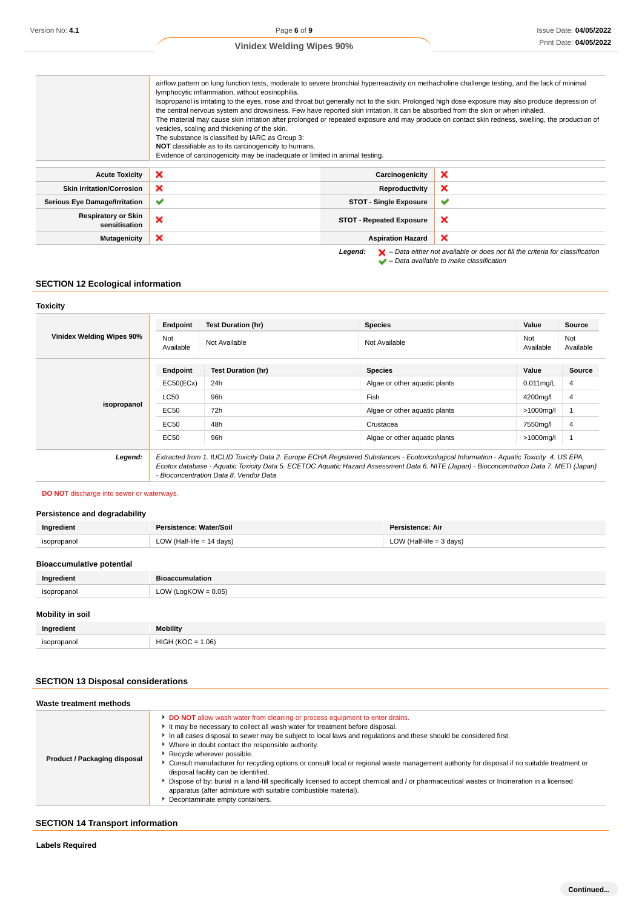|                                             | airflow pattern on lung function tests, moderate to severe bronchial hyperreactivity on methacholine challenge testing, and the lack of minimal<br>lymphocytic inflammation, without eosinophilia.<br>Isopropanol is irritating to the eyes, nose and throat but generally not to the skin. Prolonged high dose exposure may also produce depression of<br>the central nervous system and drowsiness. Few have reported skin irritation. It can be absorbed from the skin or when inhaled.<br>The material may cause skin irritation after prolonged or repeated exposure and may produce on contact skin redness, swelling, the production of<br>vesicles, scaling and thickening of the skin.<br>The substance is classified by IARC as Group 3:<br>NOT classifiable as to its carcinogenicity to humans.<br>Evidence of carcinogenicity may be inadequate or limited in animal testing. |                                 |                                                                                                                                                                     |  |  |
|---------------------------------------------|--------------------------------------------------------------------------------------------------------------------------------------------------------------------------------------------------------------------------------------------------------------------------------------------------------------------------------------------------------------------------------------------------------------------------------------------------------------------------------------------------------------------------------------------------------------------------------------------------------------------------------------------------------------------------------------------------------------------------------------------------------------------------------------------------------------------------------------------------------------------------------------------|---------------------------------|---------------------------------------------------------------------------------------------------------------------------------------------------------------------|--|--|
| <b>Acute Toxicity</b>                       | ×                                                                                                                                                                                                                                                                                                                                                                                                                                                                                                                                                                                                                                                                                                                                                                                                                                                                                          | Carcinogenicity                 | ×                                                                                                                                                                   |  |  |
| <b>Skin Irritation/Corrosion</b>            | ×                                                                                                                                                                                                                                                                                                                                                                                                                                                                                                                                                                                                                                                                                                                                                                                                                                                                                          | Reproductivity                  | ×                                                                                                                                                                   |  |  |
| <b>Serious Eye Damage/Irritation</b>        | ✔                                                                                                                                                                                                                                                                                                                                                                                                                                                                                                                                                                                                                                                                                                                                                                                                                                                                                          | <b>STOT - Single Exposure</b>   | $\checkmark$                                                                                                                                                        |  |  |
| <b>Respiratory or Skin</b><br>sensitisation | ×                                                                                                                                                                                                                                                                                                                                                                                                                                                                                                                                                                                                                                                                                                                                                                                                                                                                                          | <b>STOT - Repeated Exposure</b> | ×                                                                                                                                                                   |  |  |
| Mutagenicity                                | ×                                                                                                                                                                                                                                                                                                                                                                                                                                                                                                                                                                                                                                                                                                                                                                                                                                                                                          | <b>Aspiration Hazard</b>        | ×                                                                                                                                                                   |  |  |
|                                             |                                                                                                                                                                                                                                                                                                                                                                                                                                                                                                                                                                                                                                                                                                                                                                                                                                                                                            | Legend:                         | $\blacktriangleright$ - Data either not available or does not fill the criteria for classification<br>$\blacktriangleright$ - Data available to make classification |  |  |

# **SECTION 12 Ecological information**

#### **Toxicity**

| Vinidex Welding Wipes 90% | Endpoint<br>Not                                                                                                                                                                                                                                                                                                                | <b>Test Duration (hr)</b> | <b>Species</b>                | Value<br>Not | Source<br>Not  |
|---------------------------|--------------------------------------------------------------------------------------------------------------------------------------------------------------------------------------------------------------------------------------------------------------------------------------------------------------------------------|---------------------------|-------------------------------|--------------|----------------|
|                           | Available                                                                                                                                                                                                                                                                                                                      | Not Available             | Not Available                 | Available    | Available      |
|                           | Endpoint                                                                                                                                                                                                                                                                                                                       | <b>Test Duration (hr)</b> | <b>Species</b>                | Value        | Source         |
| isopropanol               | EC50(ECx)                                                                                                                                                                                                                                                                                                                      | 24h                       | Algae or other aquatic plants | $0.011$ mg/L | $\overline{4}$ |
|                           | <b>LC50</b>                                                                                                                                                                                                                                                                                                                    | 96h                       | Fish                          | 4200mg/l     | 4              |
|                           | EC50                                                                                                                                                                                                                                                                                                                           | 72h                       | Algae or other aquatic plants | >1000mg/l    |                |
|                           | EC50                                                                                                                                                                                                                                                                                                                           | 48h                       | Crustacea                     | 7550mg/l     | 4              |
|                           | EC50                                                                                                                                                                                                                                                                                                                           | 96h                       | Algae or other aquatic plants | >1000mg/l    |                |
| Legend:                   | Extracted from 1. IUCLID Toxicity Data 2. Europe ECHA Registered Substances - Ecotoxicological Information - Aquatic Toxicity 4. US EPA,<br>Ecotox database - Aquatic Toxicity Data 5. ECETOC Aquatic Hazard Assessment Data 6. NITE (Japan) - Bioconcentration Data 7. METI (Japan)<br>- Bioconcentration Data 8. Vendor Data |                           |                               |              |                |

#### **DO NOT** discharge into sewer or waterways.

# **Persistence and degradability**

| Ingredient  | Persistence: Water/Soil   | <b>Persistence: Air</b>    |
|-------------|---------------------------|----------------------------|
| isopropanol | LOW (Half-life = 14 days) | LOW (Half-life = $3$ days) |
|             |                           |                            |

# **Bioaccumulative potential**

| Ingredient              | <b>Bioaccumulation</b> |
|-------------------------|------------------------|
| isopropanol             | LOW (LogKOW = $0.05$ ) |
| <b>Mobility in soil</b> |                        |
| Ingredient              | <b>Mobility</b>        |
| isopropanol             | $HIGH (KOC = 1.06)$    |

# **SECTION 13 Disposal considerations**

| Waste treatment methods      |                                                                                                                                                                                                                                                                                                                                                                                                                                                                                                                                                                                                                                                                                                                                                                                                                |
|------------------------------|----------------------------------------------------------------------------------------------------------------------------------------------------------------------------------------------------------------------------------------------------------------------------------------------------------------------------------------------------------------------------------------------------------------------------------------------------------------------------------------------------------------------------------------------------------------------------------------------------------------------------------------------------------------------------------------------------------------------------------------------------------------------------------------------------------------|
| Product / Packaging disposal | DO NOT allow wash water from cleaning or process equipment to enter drains.<br>It may be necessary to collect all wash water for treatment before disposal.<br>In all cases disposal to sewer may be subject to local laws and regulations and these should be considered first.<br>Where in doubt contact the responsible authority.<br>Recycle wherever possible.<br>Consult manufacturer for recycling options or consult local or regional waste management authority for disposal if no suitable treatment or<br>disposal facility can be identified.<br>Dispose of by: burial in a land-fill specifically licensed to accept chemical and / or pharmaceutical wastes or Incineration in a licensed<br>apparatus (after admixture with suitable combustible material).<br>Decontaminate empty containers. |

# **SECTION 14 Transport information**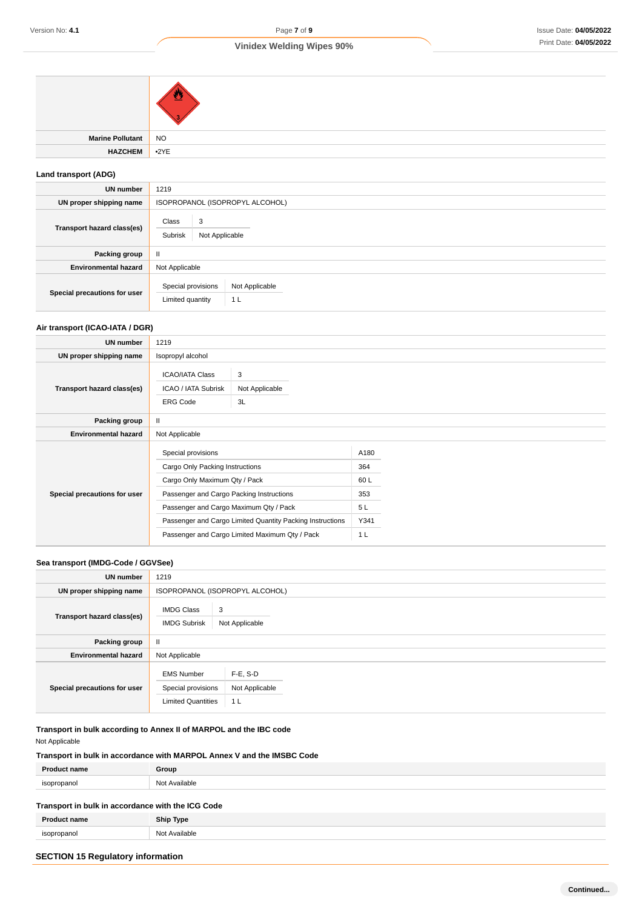| Marine Pollutant NO |  |
|---------------------|--|
| HAZCHEM •2YE        |  |
|                     |  |

# **Land transport (ADG)**

| <b>UN number</b>             | 1219                                                                       |  |  |
|------------------------------|----------------------------------------------------------------------------|--|--|
| UN proper shipping name      | ISOPROPANOL (ISOPROPYL ALCOHOL)                                            |  |  |
| Transport hazard class(es)   | Class<br>3<br>Subrisk<br>Not Applicable                                    |  |  |
| Packing group                | Ш                                                                          |  |  |
| <b>Environmental hazard</b>  | Not Applicable                                                             |  |  |
| Special precautions for user | Special provisions<br>Not Applicable<br>Limited quantity<br>1 <sub>L</sub> |  |  |

# **Air transport (ICAO-IATA / DGR)**

| UN number                    | 1219                                                                                                                                                                                                                                                                                        |                           |                                                           |  |
|------------------------------|---------------------------------------------------------------------------------------------------------------------------------------------------------------------------------------------------------------------------------------------------------------------------------------------|---------------------------|-----------------------------------------------------------|--|
| UN proper shipping name      | Isopropyl alcohol                                                                                                                                                                                                                                                                           |                           |                                                           |  |
| Transport hazard class(es)   | <b>ICAO/IATA Class</b><br>ICAO / IATA Subrisk<br><b>ERG Code</b>                                                                                                                                                                                                                            | 3<br>Not Applicable<br>3L |                                                           |  |
| Packing group                | Ш                                                                                                                                                                                                                                                                                           |                           |                                                           |  |
| <b>Environmental hazard</b>  | Not Applicable                                                                                                                                                                                                                                                                              |                           |                                                           |  |
| Special precautions for user | Special provisions<br>Cargo Only Packing Instructions<br>Cargo Only Maximum Qty / Pack<br>Passenger and Cargo Packing Instructions<br>Passenger and Cargo Maximum Qty / Pack<br>Passenger and Cargo Limited Quantity Packing Instructions<br>Passenger and Cargo Limited Maximum Qty / Pack |                           | A180<br>364<br>60L<br>353<br>5L<br>Y341<br>1 <sub>L</sub> |  |

#### **Sea transport (IMDG-Code / GGVSee)**

| <b>UN number</b>             | 1219                                                                 |                                                 |  |  |
|------------------------------|----------------------------------------------------------------------|-------------------------------------------------|--|--|
| UN proper shipping name      |                                                                      | ISOPROPANOL (ISOPROPYL ALCOHOL)                 |  |  |
| Transport hazard class(es)   | <b>IMDG Class</b><br>3<br><b>IMDG Subrisk</b><br>Not Applicable      |                                                 |  |  |
| Packing group                | $\mathbf{II}$                                                        |                                                 |  |  |
| <b>Environmental hazard</b>  | Not Applicable                                                       |                                                 |  |  |
| Special precautions for user | <b>EMS Number</b><br>Special provisions<br><b>Limited Quantities</b> | $F-E$ , S-D<br>Not Applicable<br>1 <sub>L</sub> |  |  |

**Transport in bulk according to Annex II of MARPOL and the IBC code** Not Applicable

# **Transport in bulk in accordance with MARPOL Annex V and the IMSBC Code**

| <b>Product name</b>                               | Group            |
|---------------------------------------------------|------------------|
| isopropanol                                       | Not Available    |
| Transport in bulk in accordance with the ICG Code |                  |
| <b>Product name</b>                               | <b>Ship Type</b> |
| isopropanol                                       | Not Available    |
|                                                   |                  |

# **SECTION 15 Regulatory information**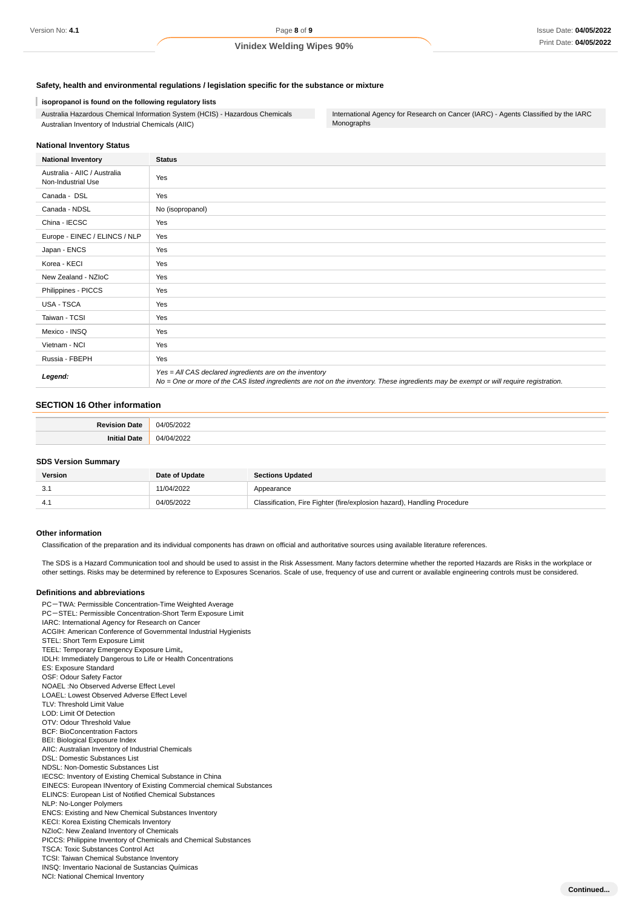#### **Safety, health and environmental regulations / legislation specific for the substance or mixture**

#### **isopropanol is found on the following regulatory lists**

Australia Hazardous Chemical Information System (HCIS) - Hazardous Chemicals Australian Inventory of Industrial Chemicals (AIIC)

International Agency for Research on Cancer (IARC) - Agents Classified by the IARC Monographs

#### **National Inventory Status**

| <b>National Inventory</b>                          | <b>Status</b>                                                                                                                                                                                     |
|----------------------------------------------------|---------------------------------------------------------------------------------------------------------------------------------------------------------------------------------------------------|
| Australia - AIIC / Australia<br>Non-Industrial Use | Yes                                                                                                                                                                                               |
| Canada - DSL                                       | Yes                                                                                                                                                                                               |
| Canada - NDSL                                      | No (isopropanol)                                                                                                                                                                                  |
| China - IECSC                                      | Yes                                                                                                                                                                                               |
| Europe - EINEC / ELINCS / NLP                      | Yes                                                                                                                                                                                               |
| Japan - ENCS                                       | Yes                                                                                                                                                                                               |
| Korea - KECI                                       | Yes                                                                                                                                                                                               |
| New Zealand - NZIoC                                | Yes                                                                                                                                                                                               |
| Philippines - PICCS                                | Yes                                                                                                                                                                                               |
| USA - TSCA                                         | Yes                                                                                                                                                                                               |
| Taiwan - TCSI                                      | Yes                                                                                                                                                                                               |
| Mexico - INSQ                                      | Yes                                                                                                                                                                                               |
| Vietnam - NCI                                      | Yes                                                                                                                                                                                               |
| Russia - FBEPH                                     | Yes                                                                                                                                                                                               |
| Legend:                                            | Yes = All CAS declared ingredients are on the inventory<br>No = One or more of the CAS listed ingredients are not on the inventory. These ingredients may be exempt or will require registration. |

#### **SECTION 16 Other information**

| atte         | $\sim$<br>n4/i<br> |
|--------------|--------------------|
| 'ate<br>m 11 | ^^^<br>14 A<br>.   |

#### **SDS Version Summary**

| <b>Version</b> | Date of Update | <b>Sections Updated</b>                                                  |
|----------------|----------------|--------------------------------------------------------------------------|
| -3.1           | 11/04/2022     | Appearance                                                               |
|                | 04/05/2022     | Classification, Fire Fighter (fire/explosion hazard), Handling Procedure |

#### **Other information**

Classification of the preparation and its individual components has drawn on official and authoritative sources using available literature references.

The SDS is a Hazard Communication tool and should be used to assist in the Risk Assessment. Many factors determine whether the reported Hazards are Risks in the workplace or other settings. Risks may be determined by reference to Exposures Scenarios. Scale of use, frequency of use and current or available engineering controls must be considered.

#### **Definitions and abbreviations**

PC-TWA: Permissible Concentration-Time Weighted Average PC-STEL: Permissible Concentration-Short Term Exposure Limit IARC: International Agency for Research on Cancer ACGIH: American Conference of Governmental Industrial Hygienists STEL: Short Term Exposure Limit TEEL: Temporary Emergency Exposure Limit。 IDLH: Immediately Dangerous to Life or Health Concentrations ES: Exposure Standard OSF: Odour Safety Factor NOAEL :No Observed Adverse Effect Level LOAEL: Lowest Observed Adverse Effect Level TLV: Threshold Limit Value LOD: Limit Of Detection OTV: Odour Threshold Value BCF: BioConcentration Factors BEI: Biological Exposure Index AIIC: Australian Inventory of Industrial Chemicals DSL: Domestic Substances List NDSL: Non-Domestic Substances List IECSC: Inventory of Existing Chemical Substance in China EINECS: European INventory of Existing Commercial chemical Substances ELINCS: European List of Notified Chemical Substances NLP: No-Longer Polymers ENCS: Existing and New Chemical Substances Inventory KECI: Korea Existing Chemicals Inventory NZIoC: New Zealand Inventory of Chemicals PICCS: Philippine Inventory of Chemicals and Chemical Substances TSCA: Toxic Substances Control Act TCSI: Taiwan Chemical Substance Inventory INSQ: Inventario Nacional de Sustancias Químicas NCI: National Chemical Inventory